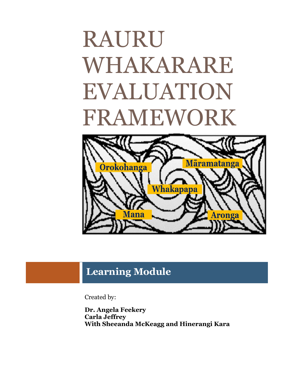# RAURU WHAKARARE EVALUATION FRAMEWORK



# **Learning Module**

Created by:

**Dr. Angela Feekery Carla Jeffrey With Sheeanda McKeagg and Hinerangi Kara**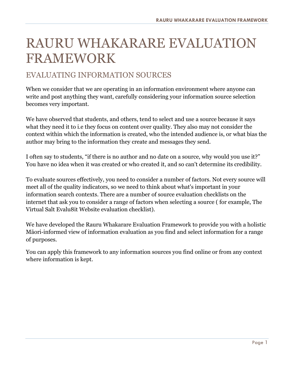# RAURU WHAKARARE EVALUATION FRAMEWORK

# EVALUATING INFORMATION SOURCES

When we consider that we are operating in an information environment where anyone can write and post anything they want, carefully considering your information source selection becomes very important.

We have observed that students, and others, tend to select and use a source because it says what they need it to i.e they focus on content over quality. They also may not consider the context within which the information is created, who the intended audience is, or what bias the author may bring to the information they create and messages they send.

I often say to students, "if there is no author and no date on a source, why would you use it?" You have no idea when it was created or who created it, and so can't determine its credibility.

To evaluate sources effectively, you need to consider a number of factors. Not every source will meet all of the quality indicators, so we need to think about what's important in your information search contexts. There are a number of source evaluation checklists on the internet that ask you to consider a range of factors when selecting a source ( for example, The Virtual Salt Evalu8it Website evaluation checklist).

We have developed the Rauru Whakarare Evaluation Framework to provide you with a holistic Māori-informed view of information evaluation as you find and select information for a range of purposes.

You can apply this framework to any information sources you find online or from any context where information is kept.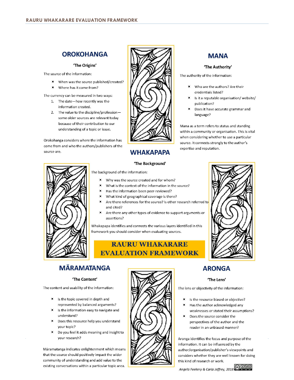# **OROKOHANGA**

#### 'The Origins'

The source of the information:

- When was the source published/created? ¥.
- × Where has it come from?

The currency can be measured in two ways:

- 1. The date-how recently was the information created.
- 2. The value to the discipline/professionsome older sources are relevant today hecause of their contribution to our understanding of a topic or issue.

Orokohanga considers where the information has come from and who the authors/publishers of the source are.



# **WHAKAPAPA**

# **MANA** 'The Authority'

The authority of the information:

- Who are the authors? Are their  $\mathbf{r}$ credentials listed?
- Is it a reputable organisation/website/ publication?
- Does it have accurate grammar and language?

Mana as a term refers to status and standing within a community or organisation. This is vital when considering whether to use a particular source. It connects strongly to the author's expertise and reputation.



#### 'The Background'

The background of the information:

- Why was the source created and for whom?
- What is the context of the information in the source?
- Has the information been peer-reviewed? ×
- What kind of geographical coverage is there?
- Are there references for the source? Is other research referred to and cited?
- ¥ Are there any other types of evidence to support arguments or assertions?

Whakapapa identifies and connects the various layers identified in this framework you should consider when evaluating sources.

## **RAURU WHAKARARE EVALUATION FRAMEWORK**



## **MĀRAMATANGA**

#### 'The Content'

The content and usability of the information:

- $\times$  Is the topic covered in depth and represented by balanced arguments?
- $\times$  Is the information easy to navigate and understand?
- $\times$  Does this resource help you understand your topic?
- Do you feel it adds meaning and insight to your research?

Märamatanga indicates enlightenment which means that the source should positively impact the wider community of understanding and add value to the existing conversations within a particular topic area.



# **ARONGA**

#### 'The Lens'

The lens or objectivity of the information:

- $\blacksquare$ Is the resource biased or objective?
- Has the author acknowledged any weaknesses or stated their assumptions?
- × Does the source consider the perspectives of the author and the reader in an unbiased manner?

Aronga identifies the focus and purpose of the information. It can be influenced by the author/organisation/publisher's viewpoints and considers whether they are well known for doing this kind of research or work.

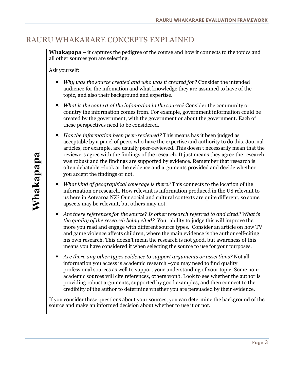# RAURU WHAKARARE CONCEPTS EXPLAINED

**Whakapapa** – it captures the pedigree of the course and how it connects to the topics and all other sources you are selecting.

Ask yourself:

- *Why was the source created and who was it created for?* Consider the intended audience for the infomation and what knowledge they are assumed to have of the topic, and also their background and expertise.
- *What is the context of the infomation in the source?* Consider the community or country the information comes from. For example, government information could be created by the government, with the government or about the government. Each of these perspectives need to be considered.
- *Has the information been peer-reviewed?* This means has it been judged as acceptable by a panel of peers who have the expertise and authority to do this. Journal articles, for example, are usually peer-reviewed. This doesn't necessarily mean that the reviewers agree with the findings of the research. It just means they agree the research was robust and the findings are supported by evidence. Remember that research is often debatable –look at the evidence and arguments provided and decide whether you accept the findings or not.
- *What kind of geographical coverage is there?* This connects to the location of the information or research. How relevant is information produced in the US relevant to us here in Aotearoa NZ? Our social and cultural contexts are quite different, so some apsects may be relevant, but others may not.
- *Are there references for the source? Is other research referred to and cited? What is the quality of the research being cited?* Your ability to judge this will improve the more you read and engage with different source types. Consider an article on how TV and game violence affects children, where the main evidence is the author self-citing his own research. This doesn't mean the research is not good, but awareness of this means you have considered it when selecting the source to use for your purposes.
- *Are there any other types evidence to support arguments or assertions?* Not all information you access is academic research –you may need to find quality professional sources as well to support your understanding of your topic. Some nonacademic sources will cite references, others won't. Look to see whether the author is providing robust arguments, supported by good examples, and then connect to the credibilty of the author to determine whether you are persuaded by their evidence.

If you consider these questions about your sources, you can determine the background of the source and make an informed decision about whether to use it or not.

**Whakapapa**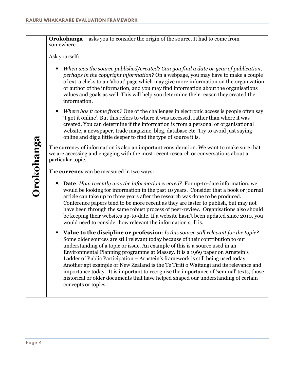**Orokohanga** – asks you to consider the origin of the source. It had to come from somewhere.

Ask yourself:

- *When was the source published/created? Can you find a date or year of publication, perhaps in the copyright information?* On a webpage, you may have to make a couple of extra clicks to an 'about' page which may give more information on the organization or author of the information, and you may find information about the organisations values and goals as well. This will help you determine their reason they created the information.
- *Where has it come from?* One of the challenges in electronic access is people often say 'I got it online'. But this refers to where it was accessed, rather than where it was created. You can determine if the information is from a personal or organisational website, a newspaper, trade magazine, blog, database etc. Try to avoid just saying online and dig a little deeper to find the type of source it is.

The currency of information is also an important consideration. We want to make sure that we are accessing and engaging with the most recent research or conversations about a particular topic.

The **currency** can be measured in two ways:

- **Date**: *How recently was the information created?* For up-to-date information, we would be looking for information in the past 10 years. Consider that a book or journal article can take up to three years after the research was done to be produced. Conference papers tend to be more recent as they are faster to publish, but may not have been through the same robust process of peer-review. Organisations also should be keeping their websites up-to-date. If a website hasn't been updated since 2010, you would need to consider how relevant the information still is.
- **Value to the discipline or profession**: *Is this source still relevant for the topic?* Some older sources are still relevant today because of their contribution to our understanding of a topic or issue. An example of this is a source used in an Environmental Planning programme at Massey. It is a 1969 paper on Arnstein's Ladder of Public Participation – Arnstein's framework is still being used today. Another apt example or New Zealand is the Te Tiriti o Waitangi and its relevance and importance today. It is important to recognise the importance of 'seminal' texts, those historical or older documents that have helped shaped our understanding of certain concepts or topics.

Page 4**Orokohanga** Orokohanga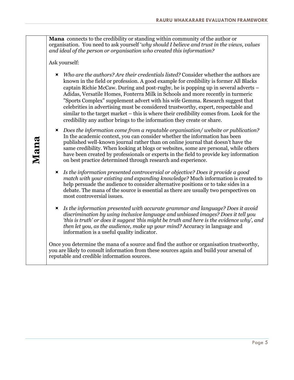**Mana** connects to the credibility or standing within community of the author or organisation. You need to ask yourself '*why should I believe and trust in the views, values and ideal of the person or organisation who created this information?*

Ask yourself:

- *Who are the authors? Are their credentials listed?* Consider whether the authors are known in the field or profession. A good example for credibility is former All Blacks captain Richie McCaw. During and post-rugby, he is popping up in several adverts – Adidas, Versatile Homes, Fonterra Milk in Schools and more recently in turmeric "Sports Complex" supplement advert with his wife Gemma. Research suggest that celebrities in advertising must be considered trustworthy, expert, respectable and similar to the target market – this is where their credibility comes from. Look for the credibility any author brings to the information they create or share.
- *Does the information come from a reputable organisation/ website or publication?* In the academic context, you can consider whether the information has been published well-known journal rather than on online journal that doesn't have the same credibility. When looking at blogs or websites, some are personal, while others have been created by professionals or experts in the field to provide key information on best practice determined through research and experience.
- *Is the information presented controversial or objective? Does it provide a good match with your existing and expanding knowledge?* Much information is created to help persuade the audience to consider alternative positions or to take sides in a debate. The mana of the source is essential as there are usually two perspectives on most controversial issues.
- *Is the information presented with accurate grammar and language? Does it avoid discrimination by using inclusive language and unbiased images? Does it tell you 'this is truth' or does it suggest 'this might be truth and here is the evidence why', and then let you, as the audience, make up your mind?* Accuracy in language and information is a useful quality indicator.

Once you determine the mana of a source and find the author or organisation trustworthy, you are likely to consult information from these sources again and build your arsenal of reputable and credible information sources.

**Mana**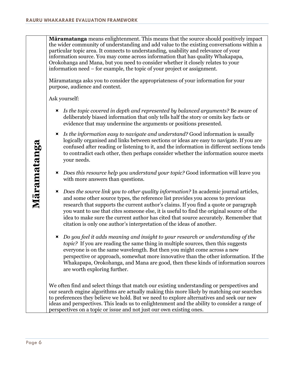**Māramatanga** means enlightenment. This means that the source should positively impact the wider community of understanding and add value to the existing conversations within a particular topic area. It connects to understanding, usability and relevance of your information source. You may come across information that has quality Whakapapa, Orokohanga and Mana, but you need to consider whether it closely relates to your information need – for example, the topic of your project or assignment.

Māramatanga asks you to consider the appropriateness of your information for your purpose, audience and context.

Ask yourself:

- *Is the topic covered in depth and represented by balanced arguments?* Be aware of deliberately biased information that only tells half the story or omits key facts or evidence that may undermine the arguments or positions presented.
- *Is the information easy to navigate and understand?* Good information is usually logically organised and links between sections or ideas are easy to navigate. If you are confused after reading or listening to it, and the information in different sections tends to contradict each other, then perhaps consider whether the information source meets your needs.
- *Does this resource help you understand your topic?* Good information will leave you with more answers than questions.
- *Does the source link you to other quality information?* In academic journal articles, and some other source types, the reference list provides you access to previous research that supports the current author's claims. If you find a quote or paragraph you want to use that cites someone else, it is useful to find the original source of the idea to make sure the current author has cited that source accurately. Remember that citation is only one author's interpretation of the ideas of another.
- *Do you feel it adds meaning and insight to your research or understanding of the topic?* If you are reading the same thing in multiple sources, then this suggests everyone is on the same wavelength. But then you might come across a new perspective or approach, somewhat more innovative than the other information. If the Whakapapa, Orokohanga, and Mana are good, then these kinds of information sources are worth exploring further.

We often find and select things that match our existing understanding or perspectives and our search engine algorithms are actually making this more likely by matching our searches to preferences they believe we hold. But we need to explore alternatives and seek our new ideas and perspectives. This leads us to enlightenment and the ability to consider a range of perspectives on a topic or issue and not just our own existing ones.

Page 6**Māramatanga** Māramatanga